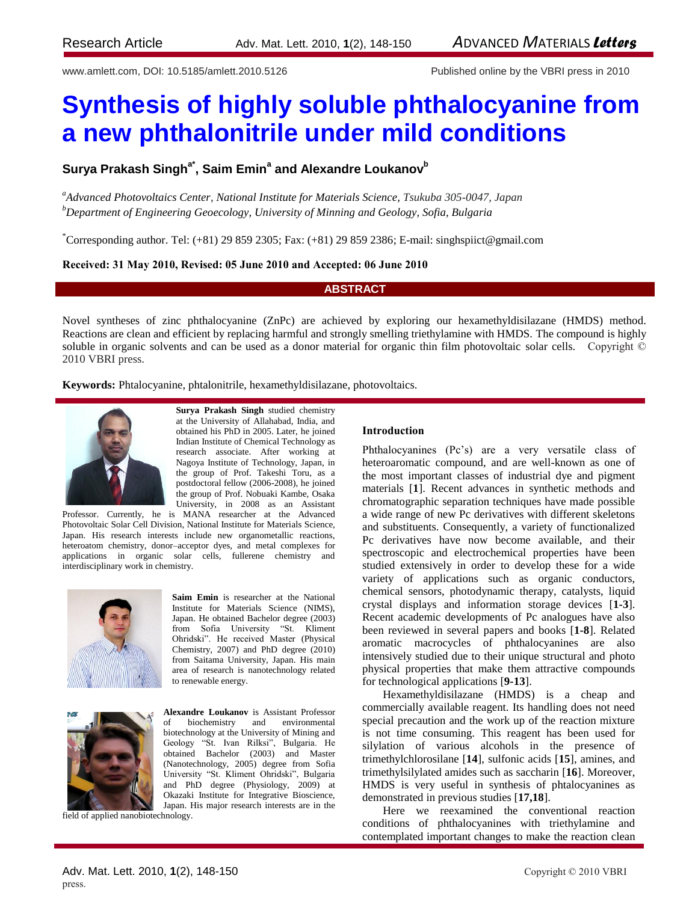www.amlett.com, DOI: 10.5185/amlett.2010.5126 Published online by the VBRI press in 2010

# **Synthesis of highly soluble phthalocyanine from a new phthalonitrile under mild conditions**

**Surya Prakash Singha\* , Saim Emin<sup>a</sup> and Alexandre Loukanov<sup>b</sup>**

*<sup>a</sup>Advanced Photovoltaics Center*, *National Institute for Materials Science, Tsukuba 305-0047, Japan <sup>b</sup>Department of Engineering Geoecology, University of Minning and Geology, Sofia, Bulgaria*

\*Corresponding author. Tel: (+81) 29 859 2305; Fax: (+81) 29 859 2386; E-mail: singhspiict@gmail.com

**Received: 31 May 2010, Revised: 05 June 2010 and Accepted: 06 June 2010**

## **ABSTRACT**

Novel syntheses of zinc phthalocyanine (ZnPc) are achieved by exploring our hexamethyldisilazane (HMDS) method. Reactions are clean and efficient by replacing harmful and strongly smelling triethylamine with HMDS. The compound is highly soluble in organic solvents and can be used as a donor material for organic thin film photovoltaic solar cells. Copyright © 2010 VBRI press.

**Keywords:** Phtalocyanine, phtalonitrile, hexamethyldisilazane, photovoltaics.



**Surya Prakash Singh** studied chemistry at the University of Allahabad, India, and obtained his PhD in 2005. Later, he joined Indian Institute of Chemical Technology as research associate. After working at Nagoya Institute of Technology, Japan, in the group of Prof. Takeshi Toru, as a postdoctoral fellow (2006-2008), he joined the group of Prof. Nobuaki Kambe, Osaka University, in 2008 as an Assistant

Professor. Currently, he is MANA researcher at the Advanced Photovoltaic Solar Cell Division, National Institute for Materials Science, Japan. His research interests include new organometallic reactions, heteroatom chemistry, donor–acceptor dyes, and metal complexes for applications in organic solar cells, fullerene chemistry and interdisciplinary work in chemistry.



**Saim Emin** is researcher at the National Institute for Materials Science (NIMS), Japan. He obtained Bachelor degree (2003) from Sofia University "St. Kliment Ohridski". He received Master (Physical Chemistry, 2007) and PhD degree (2010) from Saitama University, Japan. His main area of research is nanotechnology related to renewable energy.



**Alexandre Loukanov** is Assistant Professor of biochemistry and environmental biotechnology at the University of Mining and Geology "St. Ivan Rilksi", Bulgaria. He obtained Bachelor (2003) and Master (Nanotechnology, 2005) degree from Sofia University "St. Kliment Ohridski", Bulgaria and PhD degree (Physiology, 2009) at Okazaki Institute for Integrative Bioscience, Japan. His major research interests are in the

field of applied nanobiotechnology.

## **Introduction**

Phthalocyanines (Pc's) are a very versatile class of heteroaromatic compound, and are well-known as one of the most important classes of industrial dye and pigment materials [**1**]. Recent advances in synthetic methods and chromatographic separation techniques have made possible a wide range of new Pc derivatives with different skeletons and substituents. Consequently, a variety of functionalized Pc derivatives have now become available, and their spectroscopic and electrochemical properties have been studied extensively in order to develop these for a wide variety of applications such as organic conductors, chemical sensors, photodynamic therapy, catalysts, liquid crystal displays and information storage devices [**1-3**]. Recent academic developments of Pc analogues have also been reviewed in several papers and books [**1-8**]. Related aromatic macrocycles of phthalocyanines are also intensively studied due to their unique structural and photo physical properties that make them attractive compounds for technological applications [**9-13**].

Hexamethyldisilazane (HMDS) is a cheap and commercially available reagent. Its handling does not need special precaution and the work up of the reaction mixture is not time consuming. This reagent has been used for silylation of various alcohols in the presence of trimethylchlorosilane [**14**], sulfonic acids [**15**], amines, and trimethylsilylated amides such as saccharin [**16**]. Moreover, HMDS is very useful in synthesis of phtalocyanines as demonstrated in previous studies [**17,18**].

Here we reexamined the conventional reaction conditions of phthalocyanines with triethylamine and contemplated important changes to make the reaction clean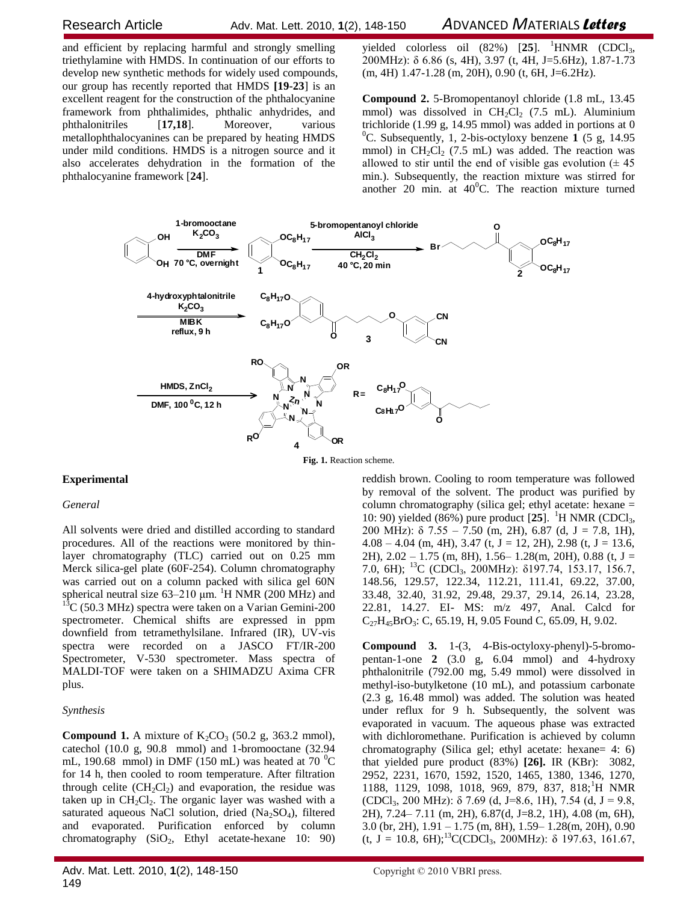# Research ArticleAdv. Mat. Lett. 2010, **1**(2), 148-150 *A*DVANCED *M*ATERIALS *Letters*

and efficient by replacing harmful and strongly smelling triethylamine with HMDS. In continuation of our efforts to develop new synthetic methods for widely used compounds, our group has recently reported that HMDS **[19-23**] is an excellent reagent for the construction of the phthalocyanine framework from phthalimides, phthalic anhydrides, and phthalonitriles [**17,18**]. Moreover, various metallophthalocyanines can be prepared by heating HMDS under mild conditions. HMDS is a nitrogen source and it also accelerates dehydration in the formation of the phthalocyanine framework [**24**].

yielded colorless oil  $(82%)$   $[25]$ . <sup>1</sup>HNMR  $(CDC1<sub>3</sub>)$ 200MHz): δ 6.86 (s, 4H), 3.97 (t, 4H, J=5.6Hz), 1.87-1.73 (m, 4H) 1.47-1.28 (m, 20H), 0.90 (t, 6H, J=6.2Hz).

**Compound 2.** 5-Bromopentanoyl chloride (1.8 mL, 13.45 mmol) was dissolved in  $CH_2Cl_2$  (7.5 mL). Aluminium trichloride (1.99 g, 14.95 mmol) was added in portions at 0 <sup>0</sup>C. Subsequently, 1, 2-bis-octyloxy benzene  $\bf{1}$  (5 g, 14.95) mmol) in  $CH_2Cl_2$  (7.5 mL) was added. The reaction was allowed to stir until the end of visible gas evolution  $(± 45)$ min.). Subsequently, the reaction mixture was stirred for another 20 min. at  $40^{\circ}$ C. The reaction mixture turned



**Fig. 1.** Reaction scheme.

# **Experimental**

#### *General*

All solvents were dried and distilled according to standard procedures. All of the reactions were monitored by thinlayer chromatography (TLC) carried out on 0.25 mm Merck silica-gel plate (60F-254). Column chromatography was carried out on a column packed with silica gel 60N spherical neutral size  $63-210 \mu m$ . <sup>1</sup>H NMR (200 MHz) and  $13^{\circ}$ C (50.3 MHz) spectra were taken on a Varian Gemini-200 spectrometer. Chemical shifts are expressed in ppm downfield from tetramethylsilane. Infrared (IR), UV-vis spectra were recorded on a JASCO FT/IR-200 Spectrometer, V-530 spectrometer. Mass spectra of MALDI-TOF were taken on a SHIMADZU Axima CFR plus.

# *Synthesis*

**Compound 1.** A mixture of  $K_2CO_3$  (50.2 g, 363.2 mmol), catechol (10.0 g, 90.8 mmol) and 1-bromooctane (32.94 mL, 190.68 mmol) in DMF (150 mL) was heated at 70  $^{\circ}$ C for 14 h, then cooled to room temperature. After filtration through celite  $(CH<sub>2</sub>Cl<sub>2</sub>)$  and evaporation, the residue was taken up in  $CH_2Cl_2$ . The organic layer was washed with a saturated aqueous NaCl solution, dried  $(Na<sub>2</sub>SO<sub>4</sub>)$ , filtered and evaporated. Purification enforced by column chromatography  $(SiO<sub>2</sub>, Ethyl acetate-hexane 10: 90)$ 

Adv. Mat. Lett. 2010, 1(2), 148-150 Copyright © 2010 VBRI press. 149

reddish brown. Cooling to room temperature was followed by removal of the solvent. The product was purified by column chromatography (silica gel; ethyl acetate: hexane = 10: 90) yielded (86%) pure product [25]. <sup>1</sup>H NMR (CDCl<sub>3</sub>, 200 MHz):  $\delta$  7.55 – 7.50 (m, 2H), 6.87 (d, J = 7.8, 1H),  $4.08 - 4.04$  (m, 4H), 3.47 (t, J = 12, 2H), 2.98 (t, J = 13.6, 2H),  $2.02 - 1.75$  (m, 8H),  $1.56 - 1.28$ (m, 20H), 0.88 (t, J = 7.0, 6H); <sup>13</sup>C (CDCl3, 200MHz): δ197.74, 153.17, 156.7, 148.56, 129.57, 122.34, 112.21, 111.41, 69.22, 37.00, 33.48, 32.40, 31.92, 29.48, 29.37, 29.14, 26.14, 23.28, 22.81, 14.27. EI- MS: m/z 497, Anal. Calcd for  $C_{27}H_{45}BrO_3$ : C, 65.19, H, 9.05 Found C, 65.09, H, 9.02.

**Compound 3.** 1-(3, 4-Bis-octyloxy-phenyl)-5-bromopentan-1-one **2** (3.0 g, 6.04 mmol) and 4-hydroxy phthalonitrile (792.00 mg, 5.49 mmol) were dissolved in methyl-iso-butylketone (10 mL), and potassium carbonate (2.3 g, 16.48 mmol) was added. The solution was heated under reflux for 9 h. Subsequently, the solvent was evaporated in vacuum. The aqueous phase was extracted with dichloromethane. Purification is achieved by column chromatography (Silica gel; ethyl acetate: hexane= 4: 6) that yielded pure product (83%) **[26].** IR (KBr): 3082, 2952, 2231, 1670, 1592, 1520, 1465, 1380, 1346, 1270, 1188, 1129, 1098, 1018, 969, 879, 837, 818;<sup>1</sup>H NMR (CDCl<sub>3</sub>, 200 MHz):  $\delta$  7.69 (d, J=8.6, 1H), 7.54 (d, J = 9.8, 2H), 7.24– 7.11 (m, 2H), 6.87(d, J=8.2, 1H), 4.08 (m, 6H), 3.0 (br, 2H), 1.91 – 1.75 (m, 8H), 1.59– 1.28(m, 20H), 0.90 (t, J = 10.8, 6H);<sup>13</sup>C(CDCl<sub>3</sub>, 200MHz):  $\delta$  197.63, 161.67,